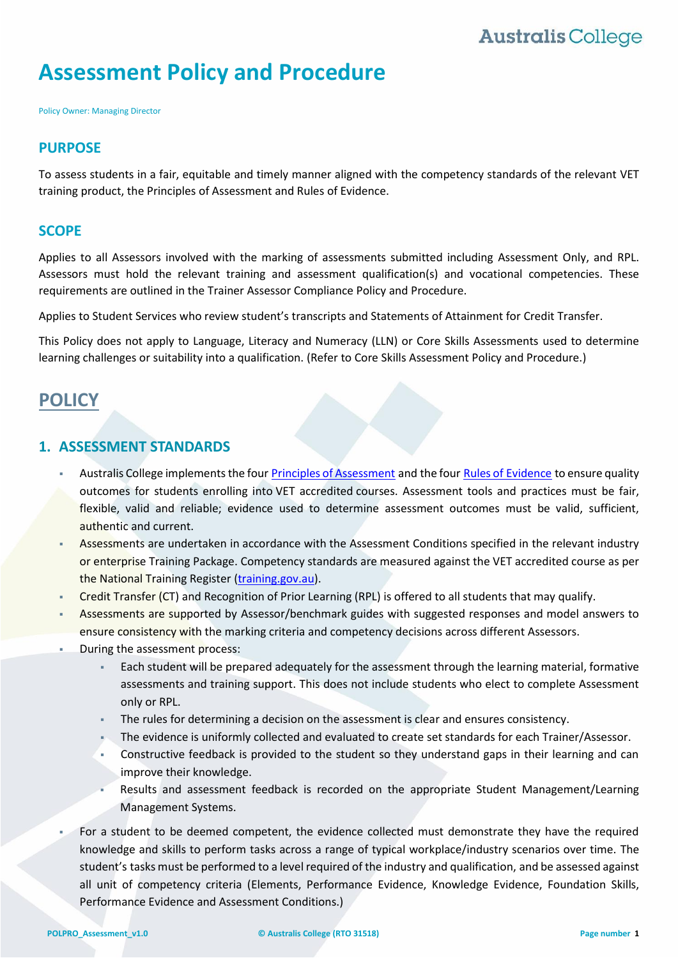# **Assessment Policy and Procedure**

Policy Owner: Managing Director

#### **PURPOSE**

To assess students in a fair, equitable and timely manner aligned with the competency standards of the relevant VET training product, the Principles of Assessment and Rules of Evidence.

#### **SCOPE**

Applies to all Assessors involved with the marking of assessments submitted including Assessment Only, and RPL. Assessors must hold the relevant training and assessment qualification(s) and vocational competencies. These requirements are outlined in the Trainer Assessor Compliance Policy and Procedure.

Applies to Student Services who review student's transcripts and Statements of Attainment for Credit Transfer.

This Policy does not apply to Language, Literacy and Numeracy (LLN) or Core Skills Assessments used to determine learning challenges or suitability into a qualification. (Refer to Core Skills Assessment Policy and Procedure.)

## **POLICY**

### **1. ASSESSMENT STANDARDS**

- Australis College implements the four Principles of Assessment and the four Rules of Evidence to ensure quality outcomes for students enrolling into VET accredited courses. Assessment tools and practices must be fair, flexible, valid and reliable; evidence used to determine assessment outcomes must be valid, sufficient, authentic and current.
- Assessments are undertaken in accordance with the Assessment Conditions specified in the relevant industry or enterprise Training Package. Competency standards are measured against the VET accredited course as per the National Training Register [\(training.gov.au\)](https://training.qld.gov.au/).
- Credit Transfer (CT) and Recognition of Prior Learning (RPL) is offered to all students that may qualify.
- Assessments are supported by Assessor/benchmark guides with suggested responses and model answers to ensure consistency with the marking criteria and competency decisions across different Assessors.
- During the assessment process:
	- Each student will be prepared adequately for the assessment through the learning material, formative assessments and training support. This does not include students who elect to complete Assessment only or RPL.
	- The rules for determining a decision on the assessment is clear and ensures consistency.
	- The evidence is uniformly collected and evaluated to create set standards for each Trainer/Assessor.
	- Constructive feedback is provided to the student so they understand gaps in their learning and can improve their knowledge.
	- Results and assessment feedback is recorded on the appropriate Student Management/Learning Management Systems.
- For a student to be deemed competent, the evidence collected must demonstrate they have the required knowledge and skills to perform tasks across a range of typical workplace/industry scenarios over time. The student's tasks must be performed to a level required of the industry and qualification, and be assessed against all unit of competency criteria (Elements, Performance Evidence, Knowledge Evidence, Foundation Skills, Performance Evidence and Assessment Conditions.)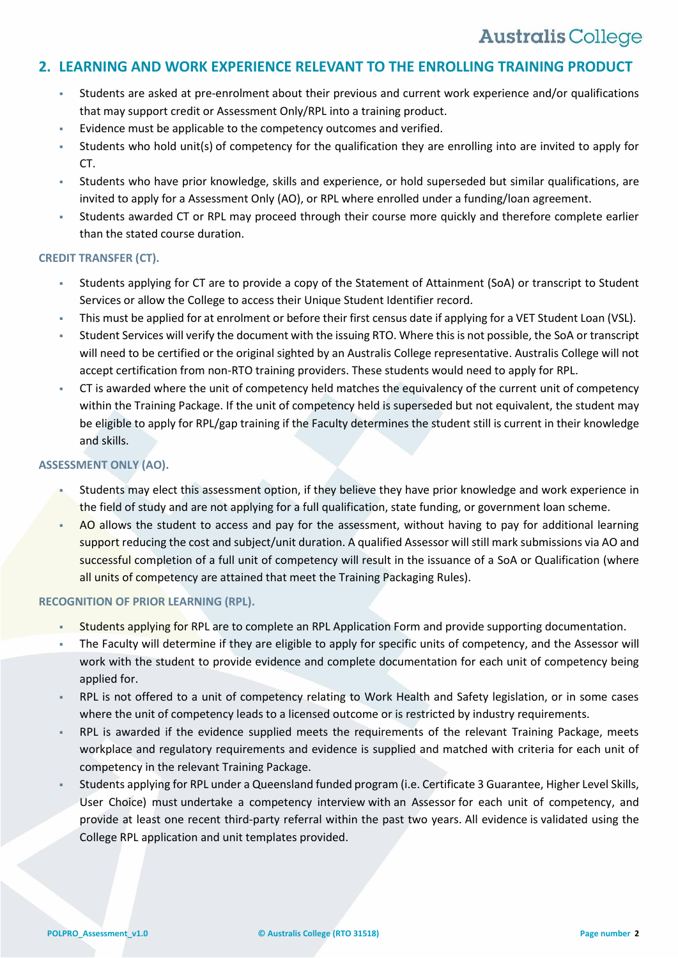### **2. LEARNING AND WORK EXPERIENCE RELEVANT TO THE ENROLLING TRAINING PRODUCT**

- Students are asked at pre-enrolment about their previous and current work experience and/or qualifications that may support credit or Assessment Only/RPL into a training product.
- Evidence must be applicable to the competency outcomes and verified.
- Students who hold unit(s) of competency for the qualification they are enrolling into are invited to apply for CT.
- Students who have prior knowledge, skills and experience, or hold superseded but similar qualifications, are invited to apply for a Assessment Only (AO), or RPL where enrolled under a funding/loan agreement.
- Students awarded CT or RPL may proceed through their course more quickly and therefore complete earlier than the stated course duration.

#### **CREDIT TRANSFER (CT).**

- Students applying for CT are to provide a copy of the Statement of Attainment (SoA) or transcript to Student Services or allow the College to access their Unique Student Identifier record.
- This must be applied for at enrolment or before their first census date if applying for a VET Student Loan (VSL).
- Student Services will verify the document with the issuing RTO. Where this is not possible, the SoA or transcript will need to be certified or the original sighted by an Australis College representative. Australis College will not accept certification from non-RTO training providers. These students would need to apply for RPL.
- CT is awarded where the unit of competency held matches the equivalency of the current unit of competency within the Training Package. If the unit of competency held is superseded but not equivalent, the student may be eligible to apply for RPL/gap training if the Faculty determines the student still is current in their knowledge and skills.

#### **ASSESSMENT ONLY (AO).**

- Students may elect this assessment option, if they believe they have prior knowledge and work experience in the field of study and are not applying for a full qualification, state funding, or government loan scheme.
- AO allows the student to access and pay for the assessment, without having to pay for additional learning support reducing the cost and subject/unit duration. A qualified Assessor will still mark submissions via AO and successful completion of a full unit of competency will result in the issuance of a SoA or Qualification (where all units of competency are attained that meet the Training Packaging Rules).

#### **RECOGNITION OF PRIOR LEARNING (RPL).**

- Students applying for RPL are to complete an RPL Application Form and provide supporting documentation.
- The Faculty will determine if they are eligible to apply for specific units of competency, and the Assessor will work with the student to provide evidence and complete documentation for each unit of competency being applied for.
- RPL is not offered to a unit of competency relating to Work Health and Safety legislation, or in some cases where the unit of competency leads to a licensed outcome or is restricted by industry requirements.
- RPL is awarded if the evidence supplied meets the requirements of the relevant Training Package, meets workplace and regulatory requirements and evidence is supplied and matched with criteria for each unit of competency in the relevant Training Package.
- Students applying for RPL under a Queensland funded program (i.e. Certificate 3 Guarantee, Higher Level Skills, User Choice) must undertake a competency interview with an Assessor for each unit of competency, and provide at least one recent third-party referral within the past two years. All evidence is validated using the College RPL application and unit templates provided.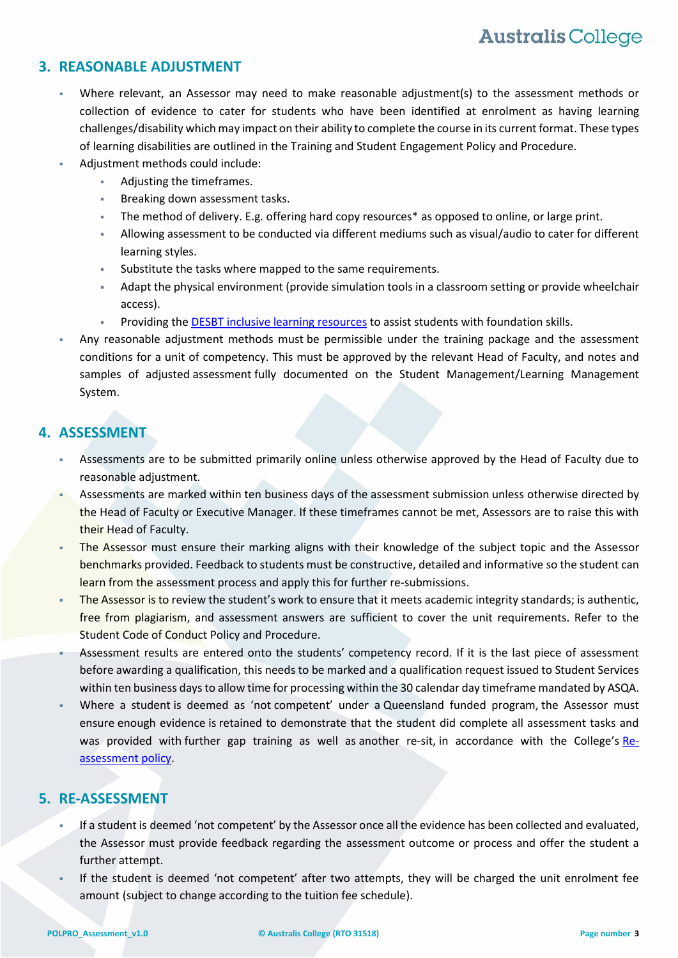### <span id="page-2-0"></span>**3. REASONABLE ADJUSTMENT**

- Where relevant, an Assessor may need to make reasonable adjustment(s) to the assessment methods or collection of evidence to cater for students who have been identified at enrolment as having learning challenges/disability which may impact on their ability to complete the course in its current format. These types of learning disabilities are outlined in the Training and Student Engagement Policy and Procedure.
- Adjustment methods could include:
	- Adjusting the timeframes.
	- Breaking down assessment tasks.
	- The method of delivery. E.g. offering hard copy resources\* as opposed to online, or large print.
	- Allowing assessment to be conducted via different mediums such as visual/audio to cater for different learning styles.
	- Substitute the tasks where mapped to the same requirements.
	- Adapt the physical environment (provide simulation tools in a classroom setting or provide wheelchair access).
	- Providing the [DESBT inclusive learning resources](https://desbt.qld.gov.au/training/providers/inclusive/resources) to assist students with foundation skills.
- Any reasonable adjustment methods must be permissible under the training package and the assessment conditions for a unit of competency. This must be approved by the relevant Head of Faculty, and notes and samples of adjusted assessment fully documented on the Student Management/Learning Management System.

## **4. ASSESSMENT**

- Assessments are to be submitted primarily online unless otherwise approved by the Head of Faculty due to reasonable adjustment.
- Assessments are marked within ten business days of the assessment submission unless otherwise directed by the Head of Faculty or Executive Manager. If these timeframes cannot be met, Assessors are to raise this with their Head of Faculty.
- The Assessor must ensure their marking aligns with their knowledge of the subject topic and the Assessor benchmarks provided. Feedback to students must be constructive, detailed and informative so the student can learn from the assessment process and apply this for further re-submissions.
- The Assessor is to review the student's work to ensure that it meets academic integrity standards; is authentic, free from plagiarism, and assessment answers are sufficient to cover the unit requirements. Refer to the Student Code of Conduct Policy and Procedure.
- Assessment results are entered onto the students' competency record. If it is the last piece of assessment before awarding a qualification, this needs to be marked and a qualification request issued to Student Services within ten business days to allow time for processing within the 30 calendar day timeframe mandated by ASQA.
- Where a student is deemed as 'not competent' under a Queensland funded program, the Assessor must ensure enough evidence is retained to demonstrate that the student did complete all assessment tasks and was provided with further gap training as well as another re-sit, in accordance with the College's Reassessment policy.

## **5. RE-ASSESSMENT**

- If a student is deemed 'not competent' by the Assessor once all the evidence has been collected and evaluated, the Assessor must provide feedback regarding the assessment outcome or process and offer the student a further attempt.
- If the student is deemed 'not competent' after two attempts, they will be charged the unit enrolment fee amount (subject to change according to the tuition fee schedule).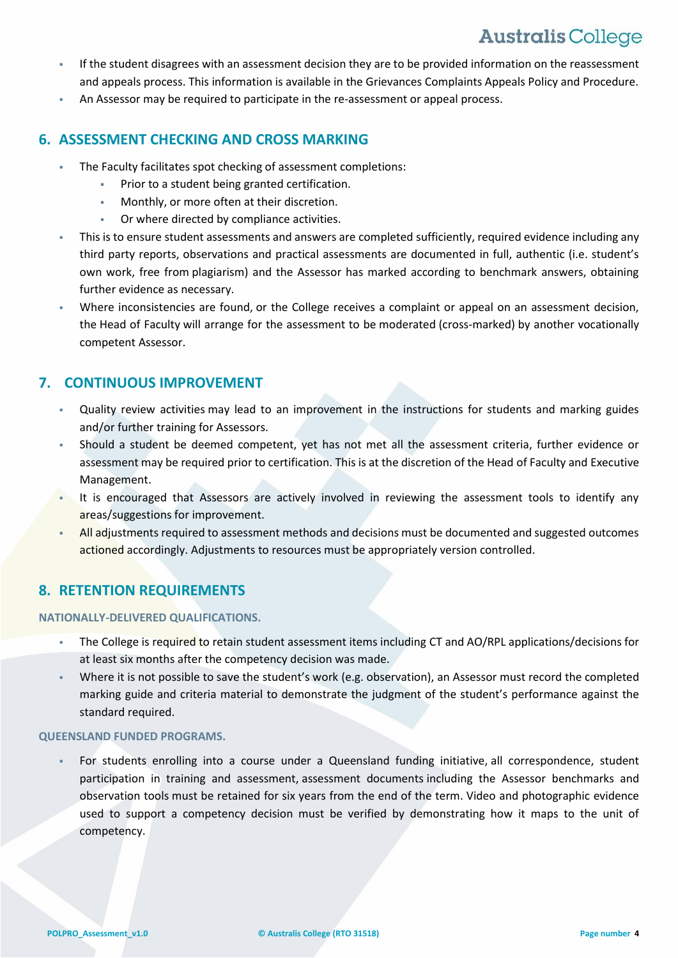- If the student disagrees with an assessment decision they are to be provided information on the reassessment and appeals process. This information is available in the Grievances Complaints Appeals Policy and Procedure.
- An Assessor may be required to participate in the re-assessment or appeal process.

### **6. ASSESSMENT CHECKING AND CROSS MARKING**

- The Faculty facilitates spot checking of assessment completions:
	- **Prior to a student being granted certification.**
	- Monthly, or more often at their discretion.
	- Or where directed by compliance activities.
- This is to ensure student assessments and answers are completed sufficiently, required evidence including any third party reports, observations and practical assessments are documented in full, authentic (i.e. student's own work, free from plagiarism) and the Assessor has marked according to benchmark answers, obtaining further evidence as necessary.
- Where inconsistencies are found, or the College receives a complaint or appeal on an assessment decision, the Head of Faculty will arrange for the assessment to be moderated (cross-marked) by another vocationally competent Assessor.

## **7. CONTINUOUS IMPROVEMENT**

- Quality review activities may lead to an improvement in the instructions for students and marking guides and/or further training for Assessors.
- Should a student be deemed competent, yet has not met all the assessment criteria, further evidence or assessment may be required prior to certification. This is at the discretion of the Head of Faculty and Executive Management.
- It is encouraged that Assessors are actively involved in reviewing the assessment tools to identify any areas/suggestions for improvement.
- All adjustments required to assessment methods and decisions must be documented and suggested outcomes actioned accordingly. Adjustments to resources must be appropriately version controlled.

## **8. RETENTION REQUIREMENTS**

#### **NATIONALLY-DELIVERED QUALIFICATIONS.**

- The College is required to retain student assessment items including CT and AO/RPL applications/decisions for at least six months after the competency decision was made.
- Where it is not possible to save the student's work (e.g. observation), an Assessor must record the completed marking guide and criteria material to demonstrate the judgment of the student's performance against the standard required.

#### **QUEENSLAND FUNDED PROGRAMS.**

 For students enrolling into a course under a Queensland funding initiative, all correspondence, student participation in training and assessment, assessment documents including the Assessor benchmarks and observation tools must be retained for six years from the end of the term. Video and photographic evidence used to support a competency decision must be verified by demonstrating how it maps to the unit of competency.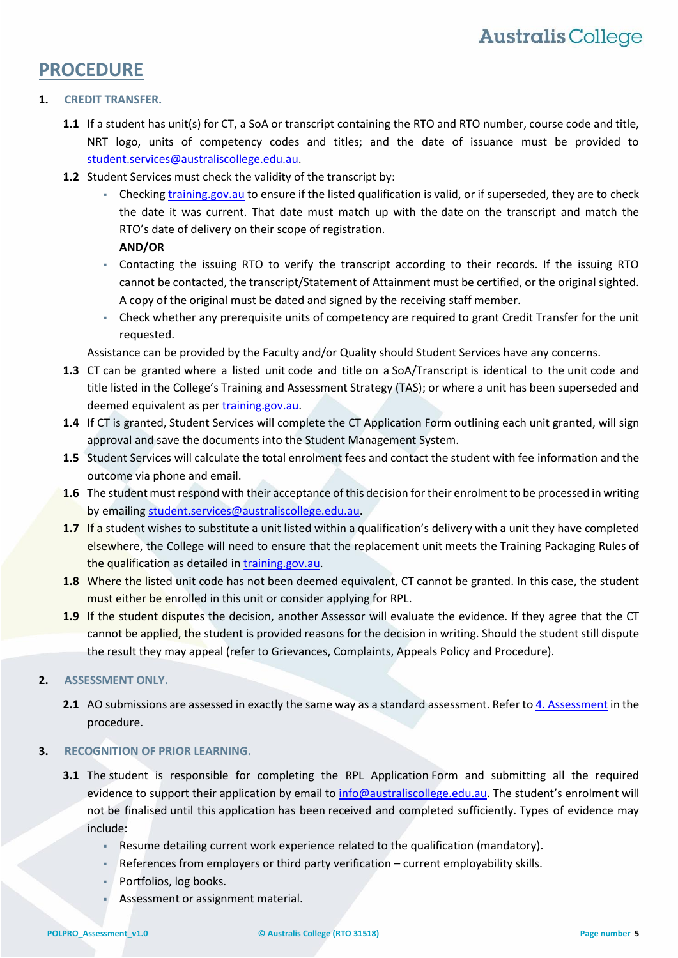## **PROCEDURE**

#### **1. CREDIT TRANSFER.**

- <span id="page-4-0"></span>**1.1** If a student has unit(s) for CT, a SoA or transcript containing the RTO and RTO number, course code and title, NRT logo, units of competency codes and titles; and the date of issuance must be provided to [student.services@australiscollege.edu.au.](mailto:student.services@australiscollege.edu.au)
- **1.2** Student Services must check the validity of the transcript by:
	- Checking [training.gov.au](file://///fileserver01/CompanyShares/POLICIES%20&%20PROCEDURES/TRAINING%20AND%20ADMINISTRATION/TRAINING%20AND%20ADMINISTRATION%20PROCEDURES/MASTER%20DOCUMENT/training.gov.au) to ensure if the listed qualification is valid, or if superseded, they are to check the date it was current. That date must match up with the date on the transcript and match the RTO's date of delivery on their scope of registration.

**AND/OR**

- Contacting the issuing RTO to verify the transcript according to their records. If the issuing RTO cannot be contacted, the transcript/Statement of Attainment must be certified, or the original sighted. A copy of the original must be dated and signed by the receiving staff member.
- Check whether any prerequisite units of competency are required to grant Credit Transfer for the unit requested.

Assistance can be provided by the Faculty and/or Quality should Student Services have any concerns.

- **1.3** CT can be granted where a listed unit code and title on a SoA/Transcript is identical to the unit code and title listed in the College's Training and Assessment Strategy (TAS); or where a unit has been superseded and deemed equivalent as per [training.gov.au.](file://///fileserver01/CompanyShares/POLICIES%20&%20PROCEDURES/TRAINING%20AND%20ADMINISTRATION/TRAINING%20AND%20ADMINISTRATION%20PROCEDURES/MASTER%20DOCUMENT/training.gov.au)
- **1.4** If CT is granted, Student Services will complete the CT Application Form outlining each unit granted, will sign approval and save the documents into the Student Management System.
- **1.5** Student Services will calculate the total enrolment fees and contact the student with fee information and the outcome via phone and email.
- **1.6** The student must respond with their acceptance of this decision for their enrolment to be processed in writing by emailing [student.services@australiscollege.edu.au.](mailto:student.services@australiscollege.edu.au)
- **1.7** If a student wishes to substitute a unit listed within a qualification's delivery with a unit they have completed elsewhere, the College will need to ensure that the replacement unit meets the Training Packaging Rules of the qualification as detailed in [training.gov.au.](file://///fileserver01/CompanyShares/POLICIES%20&%20PROCEDURES/TRAINING%20AND%20ADMINISTRATION/TRAINING%20AND%20ADMINISTRATION%20PROCEDURES/MASTER%20DOCUMENT/training.gov.au)
- **1.8** Where the listed unit code has not been deemed equivalent, CT cannot be granted. In this case, the student must either be enrolled in this unit or consider applying for RPL.
- 1.9 If the student disputes the decision, another Assessor will evaluate the evidence. If they agree that the CT cannot be applied, the student is provided reasons for the decision in writing. Should the student still dispute the result they may appeal (refer to Grievances, Complaints, Appeals Policy and Procedure).

#### **2. ASSESSMENT ONLY.**

**2.1** AO submissions are assessed in exactly the same way as a standard assessment. Refer t[o 4. Assessment](#page-5-0) in the procedure.

#### **3. RECOGNITION OF PRIOR LEARNING.**

- **3.1** The student is responsible for completing the RPL Application Form and submitting all the required evidence to support their application by email to [info@australiscollege.edu.au.](mailto:info@australiscollege.edu.au) The student's enrolment will not be finalised until this application has been received and completed sufficiently. Types of evidence may include:
	- Resume detailing current work experience related to the qualification (mandatory).
	- References from employers or third party verification current employability skills.
	- **Portfolios, log books.**
	- Assessment or assignment material.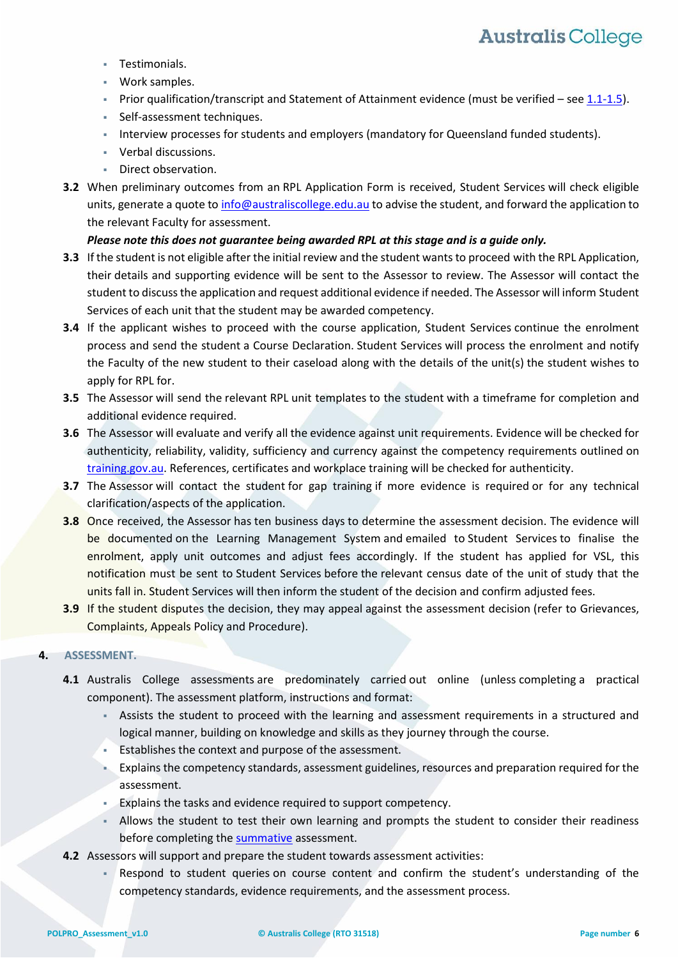- Testimonials.
- Work samples.
- Prior qualification/transcript and Statement of Attainment evidence (must be verified see [1.1-1.5\)](#page-4-0).
- Self-assessment techniques.
- Interview processes for students and employers (mandatory for Queensland funded students).
- Verbal discussions.
- Direct observation.
- **3.2** When preliminary outcomes from an RPL Application Form is received, Student Services will check eligible units, generate a quote to [info@australiscollege.edu.au](mailto:info@australiscollege.edu.au) to advise the student, and forward the application to the relevant Faculty for assessment.

#### *Please note this does not guarantee being awarded RPL at this stage and is a guide only.*

- **3.3** If the student is not eligible after the initial review and the student wants to proceed with the RPL Application, their details and supporting evidence will be sent to the Assessor to review. The Assessor will contact the student to discuss the application and request additional evidence if needed. The Assessor will inform Student Services of each unit that the student may be awarded competency.
- **3.4** If the applicant wishes to proceed with the course application, Student Services continue the enrolment process and send the student a Course Declaration. Student Services will process the enrolment and notify the Faculty of the new student to their caseload along with the details of the unit(s) the student wishes to apply for RPL for.
- **3.5** The Assessor will send the relevant RPL unit templates to the student with a timeframe for completion and additional evidence required.
- **3.6** The Assessor will evaluate and verify all the evidence against unit requirements. Evidence will be checked for authenticity, reliability, validity, sufficiency and currency against the competency requirements outlined on [training.gov.au.](file://///fileserver01/CompanyShares/POLICIES%20&%20PROCEDURES/TRAINING%20AND%20ADMINISTRATION/TRAINING%20AND%20ADMINISTRATION%20PROCEDURES/MASTER%20DOCUMENT/training.gov.au) References, certificates and workplace training will be checked for authenticity.
- **3.7** The Assessor will contact the student for gap training if more evidence is required or for any technical clarification/aspects of the application.
- **3.8** Once received, the Assessor has ten business days to determine the assessment decision. The evidence will be documented on the Learning Management System and emailed to Student Services to finalise the enrolment, apply unit outcomes and adjust fees accordingly. If the student has applied for VSL, this notification must be sent to Student Services before the relevant census date of the unit of study that the units fall in. Student Services will then inform the student of the decision and confirm adjusted fees.
- **3.9** If the student disputes the decision, they may appeal against the assessment decision (refer to Grievances, Complaints, Appeals Policy and Procedure).

#### <span id="page-5-0"></span>**4. ASSESSMENT.**

- **4.1** Australis College assessments are predominately carried out online (unless completing a practical component). The assessment platform, instructions and format:
	- Assists the student to proceed with the learning and assessment requirements in a structured and logical manner, building on knowledge and skills as they journey through the course.
	- Establishes the context and purpose of the assessment.
	- Explains the competency standards, assessment guidelines, resources and preparation required for the assessment.
	- Explains the tasks and evidence required to support competency.
	- Allows the student to test their own learning and prompts the student to consider their readiness before completing the [summative](#page-9-0) assessment.
- **4.2** Assessors will support and prepare the student towards assessment activities:
	- Respond to student queries on course content and confirm the student's understanding of the competency standards, evidence requirements, and the assessment process.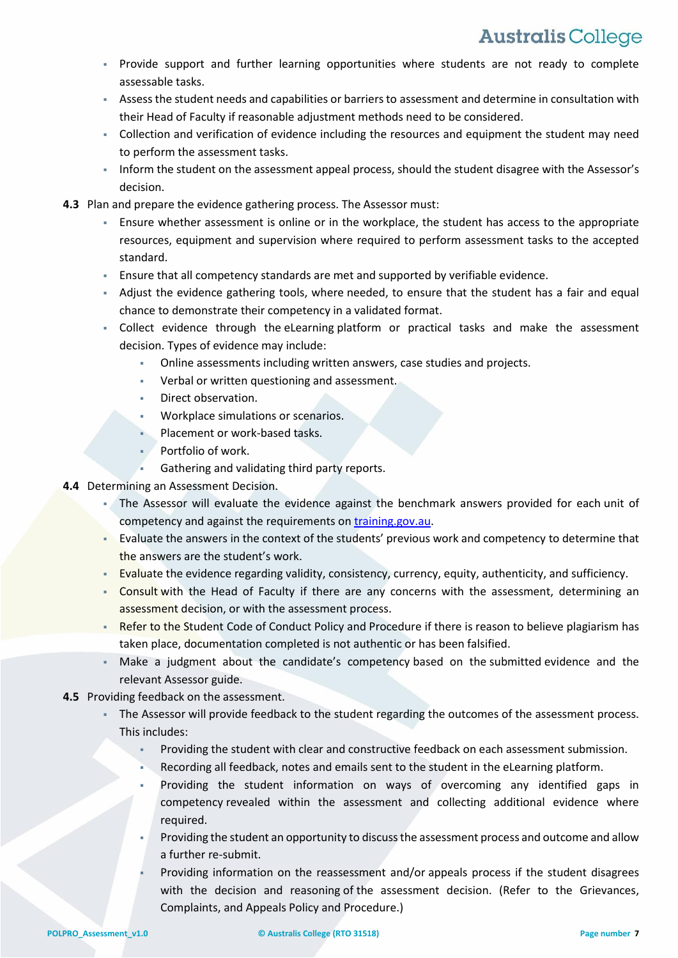- Provide support and further learning opportunities where students are not ready to complete assessable tasks.
- Assess the student needs and capabilities or barriers to assessment and determine in consultation with their Head of Faculty if reasonable adjustment methods need to be considered.
- Collection and verification of evidence including the resources and equipment the student may need to perform the assessment tasks.
- Inform the student on the assessment appeal process, should the student disagree with the Assessor's decision.
- **4.3** Plan and prepare the evidence gathering process. The Assessor must:
	- Ensure whether assessment is online or in the workplace, the student has access to the appropriate resources, equipment and supervision where required to perform assessment tasks to the accepted standard.
	- Ensure that all competency standards are met and supported by verifiable evidence.
	- Adjust the evidence gathering tools, where needed, to ensure that the student has a fair and equal chance to demonstrate their competency in a validated format.
	- Collect evidence through the eLearning platform or practical tasks and make the assessment decision. Types of evidence may include:
		- Online assessments including written answers, case studies and projects.
		- Verbal or written questioning and assessment.
		- Direct observation.
		- Workplace simulations or scenarios.
		- Placement or work-based tasks.
		- **Portfolio of work.**
		- Gathering and validating third party reports.
- **4.4** Determining an Assessment Decision.
	- The Assessor will evaluate the evidence against the benchmark answers provided for each unit of competency and against the requirements on [training.gov.au.](file://///fileserver01/CompanyShares/POLICIES%20&%20PROCEDURES/TRAINING%20AND%20ADMINISTRATION/TRAINING%20AND%20ADMINISTRATION%20PROCEDURES/MASTER%20DOCUMENT/training.gov.au)
	- **EXECUTE 1** Evaluate the answers in the context of the students' previous work and competency to determine that the answers are the student's work.
	- Evaluate the evidence regarding validity, consistency, currency, equity, authenticity, and sufficiency.
	- Consult with the Head of Faculty if there are any concerns with the assessment, determining an assessment decision, or with the assessment process.
	- Refer to the Student Code of Conduct Policy and Procedure if there is reason to believe plagiarism has taken place, documentation completed is not authentic or has been falsified.
	- Make a judgment about the candidate's competency based on the submitted evidence and the relevant Assessor guide.
- **4.5** Providing feedback on the assessment.
	- The Assessor will provide feedback to the student regarding the outcomes of the assessment process. This includes:
		- Providing the student with clear and constructive feedback on each assessment submission.
		- Recording all feedback, notes and emails sent to the student in the eLearning platform.
		- Providing the student information on ways of overcoming any identified gaps in competency revealed within the assessment and collecting additional evidence where required.
		- Providing the student an opportunity to discuss the assessment process and outcome and allow a further re-submit.
		- Providing information on the reassessment and/or appeals process if the student disagrees with the decision and reasoning of the assessment decision. (Refer to the Grievances, Complaints, and Appeals Policy and Procedure.)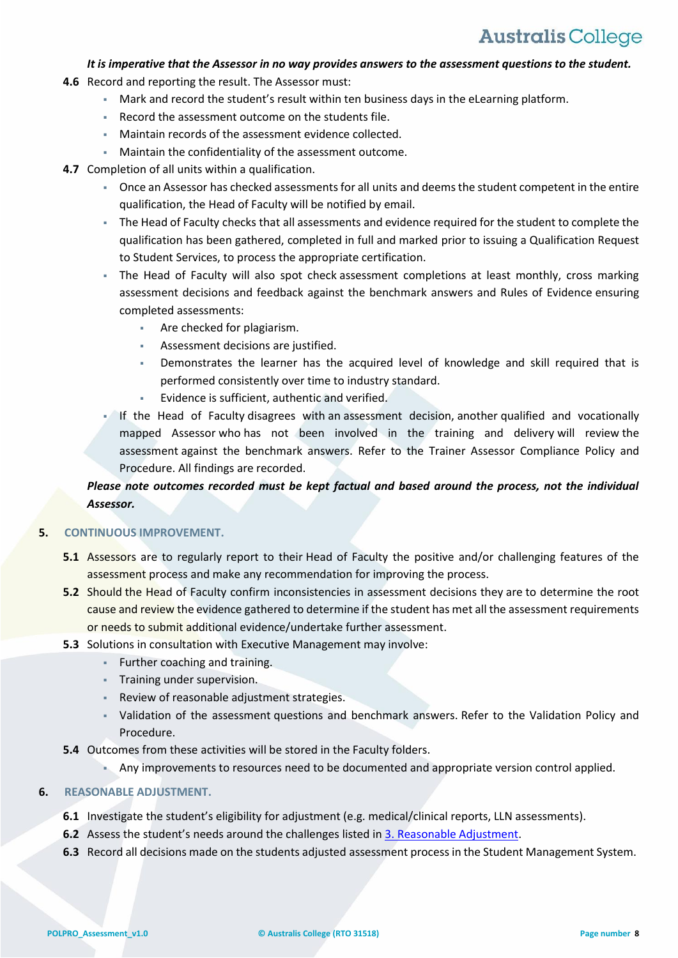#### *It is imperative that the Assessor in no way provides answers to the assessment questions to the student.*

- **4.6** Record and reporting the result. The Assessor must:
	- Mark and record the student's result within ten business days in the eLearning platform.
	- Record the assessment outcome on the students file.
	- Maintain records of the assessment evidence collected.
	- Maintain the confidentiality of the assessment outcome.
- **4.7** Completion of all units within a qualification.
	- Once an Assessor has checked assessments for all units and deems the student competent in the entire qualification, the Head of Faculty will be notified by email.
	- The Head of Faculty checks that all assessments and evidence required for the student to complete the qualification has been gathered, completed in full and marked prior to issuing a Qualification Request to Student Services, to process the appropriate certification.
	- The Head of Faculty will also spot check assessment completions at least monthly, cross marking assessment decisions and feedback against the benchmark answers and Rules of Evidence ensuring completed assessments:
		- **Are checked for plagiarism.**
		- Assessment decisions are justified.
		- Demonstrates the learner has the acquired level of knowledge and skill required that is performed consistently over time to industry standard.
		- Evidence is sufficient, authentic and verified.
	- If the Head of Faculty disagrees with an assessment decision, another qualified and vocationally mapped Assessor who has not been involved in the training and delivery will review the assessment against the benchmark answers. Refer to the Trainer Assessor Compliance Policy and Procedure. All findings are recorded.

### *Please note outcomes recorded must be kept factual and based around the process, not the individual Assessor.*

#### **5. CONTINUOUS IMPROVEMENT.**

- **5.1** Assessors are to regularly report to their Head of Faculty the positive and/or challenging features of the assessment process and make any recommendation for improving the process.
- **5.2** Should the Head of Faculty confirm inconsistencies in assessment decisions they are to determine the root cause and review the evidence gathered to determine if the student has met all the assessment requirements or needs to submit additional evidence/undertake further assessment.
- **5.3** Solutions in consultation with Executive Management may involve:
	- **Further coaching and training.**
	- **Training under supervision.**
	- Review of reasonable adjustment strategies.
	- Validation of the assessment questions and benchmark answers. Refer to the Validation Policy and Procedure.
- **5.4** Outcomes from these activities will be stored in the Faculty folders.
	- Any improvements to resources need to be documented and appropriate version control applied.

#### **6. REASONABLE ADJUSTMENT.**

- **6.1** Investigate the student's eligibility for adjustment (e.g. medical/clinical reports, LLN assessments).
- **6.2** Assess the student's needs around the challenges listed in [3. Reasonable Adjustment.](#page-2-0)
- **6.3** Record all decisions made on the students adjusted assessment process in the Student Management System.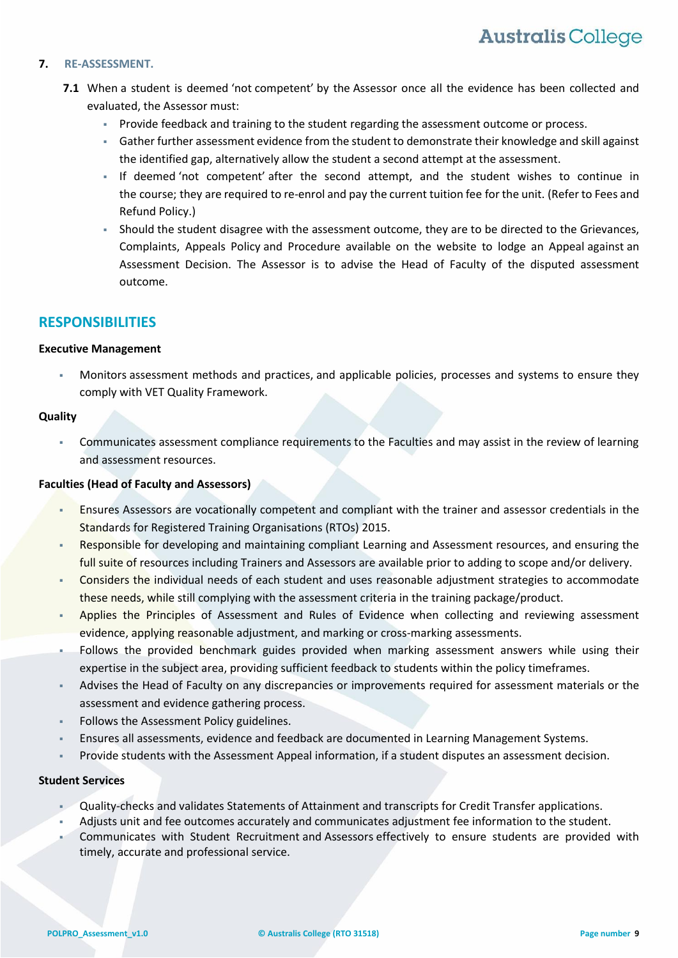#### **7. RE-ASSESSMENT.**

- **7.1** When a student is deemed 'not competent' by the Assessor once all the evidence has been collected and evaluated, the Assessor must:
	- **Provide feedback and training to the student regarding the assessment outcome or process.**
	- Gather further assessment evidence from the student to demonstrate their knowledge and skill against the identified gap, alternatively allow the student a second attempt at the assessment.
	- If deemed 'not competent' after the second attempt, and the student wishes to continue in the course; they are required to re-enrol and pay the current tuition fee for the unit. (Refer to Fees and Refund Policy.)
	- Should the student disagree with the assessment outcome, they are to be directed to the Grievances, Complaints, Appeals Policy and Procedure available on the website to lodge an Appeal against an Assessment Decision. The Assessor is to advise the Head of Faculty of the disputed assessment outcome.

### **RESPONSIBILITIES**

#### **Executive Management**

 Monitors assessment methods and practices, and applicable policies, processes and systems to ensure they comply with VET Quality Framework.

#### **Quality**

 Communicates assessment compliance requirements to the Faculties and may assist in the review of learning and assessment resources.

#### **Faculties (Head of Faculty and Assessors)**

- Ensures Assessors are vocationally competent and compliant with the trainer and assessor credentials in the Standards for Registered Training Organisations (RTOs) 2015.
- Responsible for developing and maintaining compliant Learning and Assessment resources, and ensuring the full suite of resources including Trainers and Assessors are available prior to adding to scope and/or delivery.
- Considers the individual needs of each student and uses reasonable adjustment strategies to accommodate these needs, while still complying with the assessment criteria in the training package/product.
- Applies the Principles of Assessment and Rules of Evidence when collecting and reviewing assessment evidence, applying reasonable adjustment, and marking or cross-marking assessments.
- Follows the provided benchmark guides provided when marking assessment answers while using their expertise in the subject area, providing sufficient feedback to students within the policy timeframes.
- Advises the Head of Faculty on any discrepancies or improvements required for assessment materials or the assessment and evidence gathering process.
- Follows the Assessment Policy guidelines.
- Ensures all assessments, evidence and feedback are documented in Learning Management Systems.
- Provide students with the Assessment Appeal information, if a student disputes an assessment decision.

#### **Student Services**

- Quality-checks and validates Statements of Attainment and transcripts for Credit Transfer applications.
- Adjusts unit and fee outcomes accurately and communicates adjustment fee information to the student.
- Communicates with Student Recruitment and Assessors effectively to ensure students are provided with timely, accurate and professional service.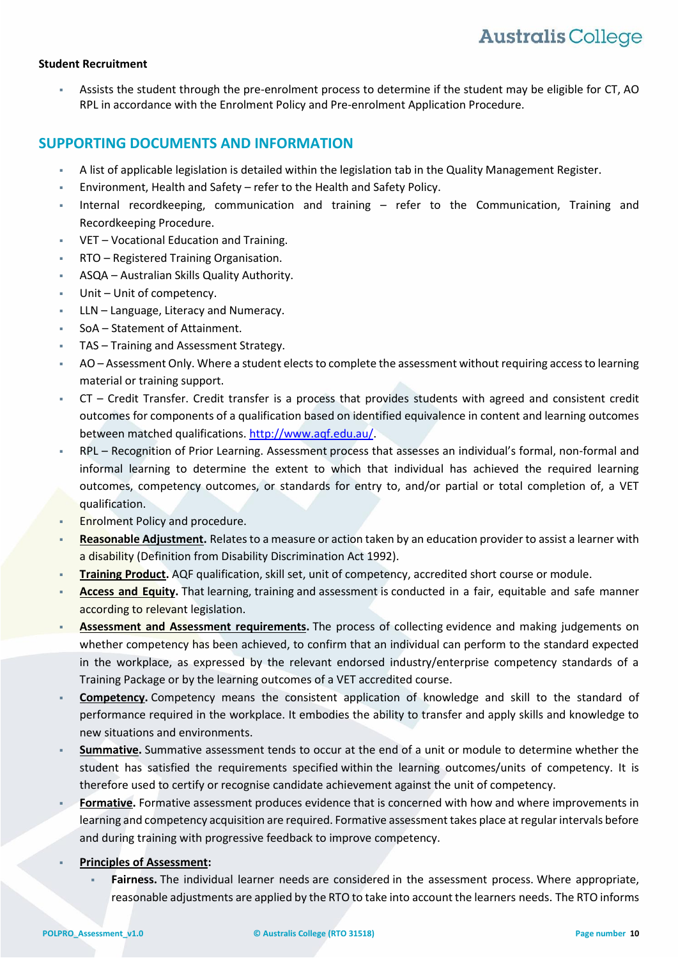#### **Student Recruitment**

 Assists the student through the pre-enrolment process to determine if the student may be eligible for CT, AO RPL in accordance with the Enrolment Policy and Pre-enrolment Application Procedure.

### **SUPPORTING DOCUMENTS AND INFORMATION**

- A list of applicable legislation is detailed within the legislation tab in the Quality Management Register.
- Environment, Health and Safety refer to the Health and Safety Policy.
- Internal recordkeeping, communication and training refer to the Communication, Training and Recordkeeping Procedure.
- VET Vocational Education and Training.
- RTO Registered Training Organisation.
- ASQA Australian Skills Quality Authority.
- Unit Unit of competency.
- LLN Language, Literacy and Numeracy.
- SoA Statement of Attainment.
- TAS Training and Assessment Strategy.
- AO Assessment Only. Where a student elects to complete the assessment without requiring access to learning material or training support.
- CT Credit Transfer. Credit transfer is a process that provides students with agreed and consistent credit outcomes for components of a qualification based on identified equivalence in content and learning outcomes between matched qualifications. [http://www.aqf.edu.au/.](http://www.aqf.edu.au/)
- RPL Recognition of Prior Learning. Assessment process that assesses an individual's formal, non-formal and informal learning to determine the extent to which that individual has achieved the required learning outcomes, competency outcomes, or standards for entry to, and/or partial or total completion of, a VET qualification.
- Enrolment Policy and procedure.
- **Reasonable Adjustment.** Relates to a measure or action taken by an education provider to assist a learner with a disability (Definition from Disability Discrimination Act 1992).
- **Training Product.** AQF qualification, skill set, unit of competency, accredited short course or module.
- **Access and Equity.** That learning, training and assessment is conducted in a fair, equitable and safe manner according to relevant legislation.
- **Assessment and Assessment requirements.** The process of collecting evidence and making judgements on whether competency has been achieved, to confirm that an individual can perform to the standard expected in the workplace, as expressed by the relevant endorsed industry/enterprise competency standards of a Training Package or by the learning outcomes of a VET accredited course.
- **Competency.** Competency means the consistent application of knowledge and skill to the standard of performance required in the workplace. It embodies the ability to transfer and apply skills and knowledge to new situations and environments.
- <span id="page-9-0"></span> **Summative.** Summative assessment tends to occur at the end of a unit or module to determine whether the student has satisfied the requirements specified within the learning outcomes/units of competency. It is therefore used to certify or recognise candidate achievement against the unit of competency.
- **Formative.** Formative assessment produces evidence that is concerned with how and where improvements in learning and competency acquisition are required. Formative assessment takes place at regular intervals before and during training with progressive feedback to improve competency.
- **Principles of Assessment:**
	- **Fairness.** The individual learner needs are considered in the assessment process. Where appropriate, reasonable adjustments are applied by the RTO to take into account the learners needs. The RTO informs